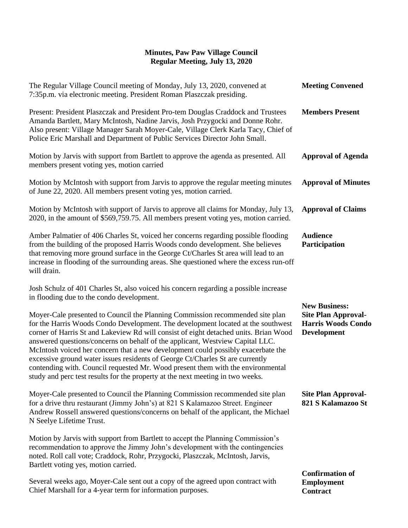| The Regular Village Council meeting of Monday, July 13, 2020, convened at<br>7:35p.m. via electronic meeting. President Roman Plaszczak presiding.                                                                                                                                                                                                                                                                                                                                                                                                                                                                                                                                   | <b>Meeting Convened</b>                                                                               |
|--------------------------------------------------------------------------------------------------------------------------------------------------------------------------------------------------------------------------------------------------------------------------------------------------------------------------------------------------------------------------------------------------------------------------------------------------------------------------------------------------------------------------------------------------------------------------------------------------------------------------------------------------------------------------------------|-------------------------------------------------------------------------------------------------------|
| Present: President Plaszczak and President Pro-tem Douglas Craddock and Trustees<br>Amanda Bartlett, Mary McIntosh, Nadine Jarvis, Josh Przygocki and Donne Rohr.<br>Also present: Village Manager Sarah Moyer-Cale, Village Clerk Karla Tacy, Chief of<br>Police Eric Marshall and Department of Public Services Director John Small.                                                                                                                                                                                                                                                                                                                                               | <b>Members Present</b>                                                                                |
| Motion by Jarvis with support from Bartlett to approve the agenda as presented. All<br>members present voting yes, motion carried                                                                                                                                                                                                                                                                                                                                                                                                                                                                                                                                                    | <b>Approval of Agenda</b>                                                                             |
| Motion by McIntosh with support from Jarvis to approve the regular meeting minutes<br>of June 22, 2020. All members present voting yes, motion carried.                                                                                                                                                                                                                                                                                                                                                                                                                                                                                                                              | <b>Approval of Minutes</b>                                                                            |
| Motion by McIntosh with support of Jarvis to approve all claims for Monday, July 13,<br>2020, in the amount of \$569,759.75. All members present voting yes, motion carried.                                                                                                                                                                                                                                                                                                                                                                                                                                                                                                         | <b>Approval of Claims</b>                                                                             |
| Amber Palmatier of 406 Charles St, voiced her concerns regarding possible flooding<br>from the building of the proposed Harris Woods condo development. She believes<br>that removing more ground surface in the George Ct/Charles St area will lead to an<br>increase in flooding of the surrounding areas. She questioned where the excess run-off<br>will drain.                                                                                                                                                                                                                                                                                                                  | <b>Audience</b><br>Participation                                                                      |
| Josh Schulz of 401 Charles St, also voiced his concern regarding a possible increase<br>in flooding due to the condo development.                                                                                                                                                                                                                                                                                                                                                                                                                                                                                                                                                    |                                                                                                       |
| Moyer-Cale presented to Council the Planning Commission recommended site plan<br>for the Harris Woods Condo Development. The development located at the southwest<br>corner of Harris St and Lakeview Rd will consist of eight detached units. Brian Wood<br>answered questions/concerns on behalf of the applicant, Westview Capital LLC.<br>McIntosh voiced her concern that a new development could possibly exacerbate the<br>excessive ground water issues residents of George Ct/Charles St are currently<br>contending with. Council requested Mr. Wood present them with the environmental<br>study and perc test results for the property at the next meeting in two weeks. | <b>New Business:</b><br><b>Site Plan Approval-</b><br><b>Harris Woods Condo</b><br><b>Development</b> |
| Moyer-Cale presented to Council the Planning Commission recommended site plan<br>for a drive thru restaurant (Jimmy John's) at 821 S Kalamazoo Street. Engineer<br>Andrew Rossell answered questions/concerns on behalf of the applicant, the Michael<br>N Seelye Lifetime Trust.                                                                                                                                                                                                                                                                                                                                                                                                    | <b>Site Plan Approval-</b><br>821 S Kalamazoo St                                                      |
| Motion by Jarvis with support from Bartlett to accept the Planning Commission's<br>recommendation to approve the Jimmy John's development with the contingencies<br>noted. Roll call vote; Craddock, Rohr, Przygocki, Plaszczak, McIntosh, Jarvis,<br>Bartlett voting yes, motion carried.                                                                                                                                                                                                                                                                                                                                                                                           |                                                                                                       |
|                                                                                                                                                                                                                                                                                                                                                                                                                                                                                                                                                                                                                                                                                      | <b>Confirmation of</b>                                                                                |

Several weeks ago, Moyer-Cale sent out a copy of the agreed upon contract with Chief Marshall for a 4-year term for information purposes.

**Employment Contract**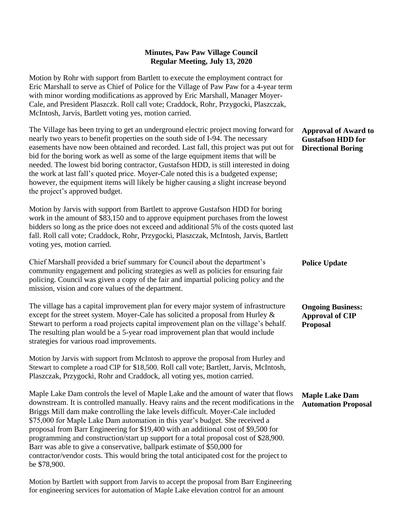Motion by Rohr with support from Bartlett to execute the employment contract for Eric Marshall to serve as Chief of Police for the Village of Paw Paw for a 4-year term with minor wording modifications as approved by Eric Marshall, Manager Moyer-Cale, and President Plaszczk. Roll call vote; Craddock, Rohr, Przygocki, Plaszczak, McIntosh, Jarvis, Bartlett voting yes, motion carried.

The Village has been trying to get an underground electric project moving forward for nearly two years to benefit properties on the south side of I-94. The necessary easements have now been obtained and recorded. Last fall, this project was put out for bid for the boring work as well as some of the large equipment items that will be needed. The lowest bid boring contractor, Gustafson HDD, is still interested in doing the work at last fall's quoted price. Moyer-Cale noted this is a budgeted expense; however, the equipment items will likely be higher causing a slight increase beyond the project's approved budget.

Motion by Jarvis with support from Bartlett to approve Gustafson HDD for boring work in the amount of \$83,150 and to approve equipment purchases from the lowest bidders so long as the price does not exceed and additional 5% of the costs quoted last fall. Roll call vote; Craddock, Rohr, Przygocki, Plaszczak, McIntosh, Jarvis, Bartlett voting yes, motion carried.

Chief Marshall provided a brief summary for Council about the department's community engagement and policing strategies as well as policies for ensuring fair policing. Council was given a copy of the fair and impartial policing policy and the mission, vision and core values of the department.

The village has a capital improvement plan for every major system of infrastructure except for the street system. Moyer-Cale has solicited a proposal from Hurley & Stewart to perform a road projects capital improvement plan on the village's behalf. The resulting plan would be a 5-year road improvement plan that would include strategies for various road improvements.

Motion by Jarvis with support from McIntosh to approve the proposal from Hurley and Stewart to complete a road CIP for \$18,500. Roll call vote; Bartlett, Jarvis, McIntosh, Plaszczak, Przygocki, Rohr and Craddock, all voting yes, motion carried.

Maple Lake Dam controls the level of Maple Lake and the amount of water that flows downstream. It is controlled manually. Heavy rains and the recent modifications in the Briggs Mill dam make controlling the lake levels difficult. Moyer-Cale included \$75,000 for Maple Lake Dam automation in this year's budget. She received a proposal from Barr Engineering for \$19,400 with an additional cost of \$9,500 for programming and construction/start up support for a total proposal cost of \$28,900. Barr was able to give a conservative, ballpark estimate of \$50,000 for contractor/vendor costs. This would bring the total anticipated cost for the project to be \$78,900.

Motion by Bartlett with support from Jarvis to accept the proposal from Barr Engineering for engineering services for automation of Maple Lake elevation control for an amount

#### **Approval of Award to Gustafson HDD for Directional Boring**

**Police Update**

**Ongoing Business: Approval of CIP Proposal**

**Maple Lake Dam Automation Proposal**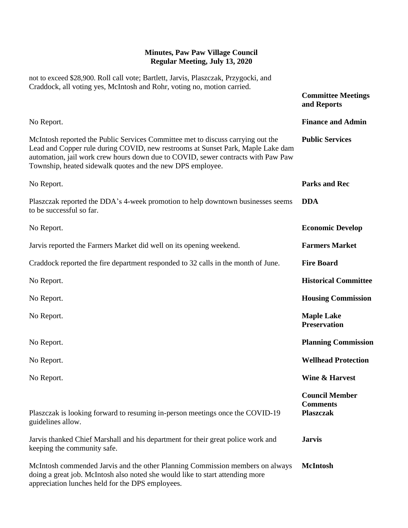| not to exceed \$28,900. Roll call vote; Bartlett, Jarvis, Plaszczak, Przygocki, and<br>Craddock, all voting yes, McIntosh and Rohr, voting no, motion carried.                                                                                                                                                       |                                                              |
|----------------------------------------------------------------------------------------------------------------------------------------------------------------------------------------------------------------------------------------------------------------------------------------------------------------------|--------------------------------------------------------------|
|                                                                                                                                                                                                                                                                                                                      | <b>Committee Meetings</b><br>and Reports                     |
| No Report.                                                                                                                                                                                                                                                                                                           | <b>Finance and Admin</b>                                     |
| McIntosh reported the Public Services Committee met to discuss carrying out the<br>Lead and Copper rule during COVID, new restrooms at Sunset Park, Maple Lake dam<br>automation, jail work crew hours down due to COVID, sewer contracts with Paw Paw<br>Township, heated sidewalk quotes and the new DPS employee. | <b>Public Services</b>                                       |
| No Report.                                                                                                                                                                                                                                                                                                           | <b>Parks and Rec</b>                                         |
| Plaszczak reported the DDA's 4-week promotion to help downtown businesses seems<br>to be successful so far.                                                                                                                                                                                                          | <b>DDA</b>                                                   |
| No Report.                                                                                                                                                                                                                                                                                                           | <b>Economic Develop</b>                                      |
| Jarvis reported the Farmers Market did well on its opening weekend.                                                                                                                                                                                                                                                  | <b>Farmers Market</b>                                        |
| Craddock reported the fire department responded to 32 calls in the month of June.                                                                                                                                                                                                                                    | <b>Fire Board</b>                                            |
| No Report.                                                                                                                                                                                                                                                                                                           | <b>Historical Committee</b>                                  |
| No Report.                                                                                                                                                                                                                                                                                                           | <b>Housing Commission</b>                                    |
| No Report.                                                                                                                                                                                                                                                                                                           | <b>Maple Lake</b><br><b>Preservation</b>                     |
| No Report.                                                                                                                                                                                                                                                                                                           | <b>Planning Commission</b>                                   |
| No Report.                                                                                                                                                                                                                                                                                                           | <b>Wellhead Protection</b>                                   |
| No Report.                                                                                                                                                                                                                                                                                                           | <b>Wine &amp; Harvest</b>                                    |
| Plaszczak is looking forward to resuming in-person meetings once the COVID-19<br>guidelines allow.                                                                                                                                                                                                                   | <b>Council Member</b><br><b>Comments</b><br><b>Plaszczak</b> |
| Jarvis thanked Chief Marshall and his department for their great police work and<br>keeping the community safe.                                                                                                                                                                                                      | <b>Jarvis</b>                                                |
| McIntosh commended Jarvis and the other Planning Commission members on always<br>doing a great job. McIntosh also noted she would like to start attending more<br>appreciation lunches held for the DPS employees.                                                                                                   | <b>McIntosh</b>                                              |